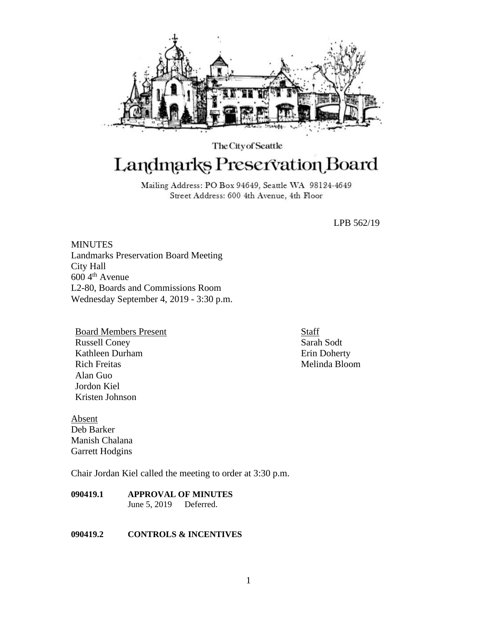

# The City of Seattle Landmarks Preservation Board

Mailing Address: PO Box 94649, Seattle WA 98124-4649 Street Address: 600 4th Avenue, 4th Floor

LPB 562/19

**MINUTES** Landmarks Preservation Board Meeting City Hall 600 4th Avenue L2-80, Boards and Commissions Room Wednesday September 4, 2019 - 3:30 p.m.

Board Members Present Russell Coney Kathleen Durham Rich Freitas Alan Guo Jordon Kiel Kristen Johnson

Absent Deb Barker Manish Chalana Garrett Hodgins

Chair Jordan Kiel called the meeting to order at 3:30 p.m.

**090419.1 APPROVAL OF MINUTES** June 5, 2019 Deferred.

## **090419.2 CONTROLS & INCENTIVES**

**Staff** Sarah Sodt Erin Doherty Melinda Bloom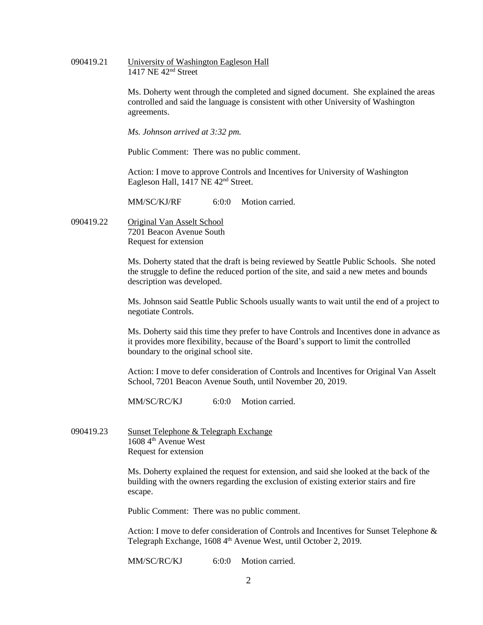090419.21 University of Washington Eagleson Hall 1417 NE 42nd Street

> Ms. Doherty went through the completed and signed document. She explained the areas controlled and said the language is consistent with other University of Washington agreements.

*Ms. Johnson arrived at 3:32 pm.*

Public Comment: There was no public comment.

Action: I move to approve Controls and Incentives for University of Washington Eagleson Hall, 1417 NE 42<sup>nd</sup> Street.

MM/SC/KJ/RF 6:0:0 Motion carried.

090419.22 Original Van Asselt School 7201 Beacon Avenue South Request for extension

> Ms. Doherty stated that the draft is being reviewed by Seattle Public Schools. She noted the struggle to define the reduced portion of the site, and said a new metes and bounds description was developed.

> Ms. Johnson said Seattle Public Schools usually wants to wait until the end of a project to negotiate Controls.

> Ms. Doherty said this time they prefer to have Controls and Incentives done in advance as it provides more flexibility, because of the Board's support to limit the controlled boundary to the original school site.

Action: I move to defer consideration of Controls and Incentives for Original Van Asselt School, 7201 Beacon Avenue South, until November 20, 2019.

MM/SC/RC/KJ 6:0:0 Motion carried.

090419.23 Sunset Telephone & Telegraph Exchange 1608 4<sup>th</sup> Avenue West Request for extension

> Ms. Doherty explained the request for extension, and said she looked at the back of the building with the owners regarding the exclusion of existing exterior stairs and fire escape.

Public Comment: There was no public comment.

Action: I move to defer consideration of Controls and Incentives for Sunset Telephone & Telegraph Exchange, 1608 4<sup>th</sup> Avenue West, until October 2, 2019.

MM/SC/RC/KJ 6:0:0 Motion carried.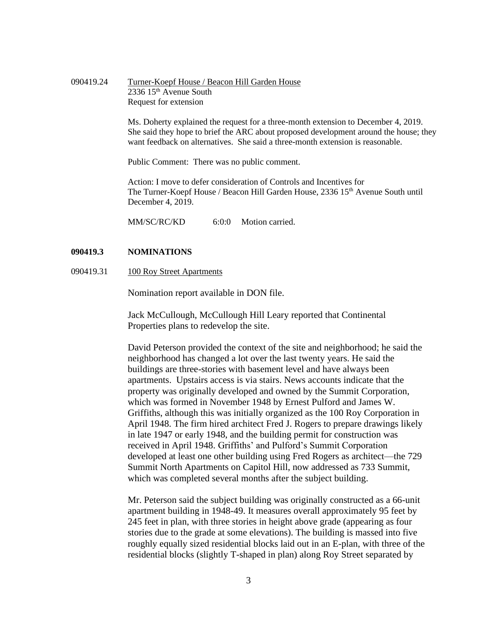| 090419.24 | Turner-Koepf House / Beacon Hill Garden House |
|-----------|-----------------------------------------------|
|           | $2336$ 15 <sup>th</sup> Avenue South          |
|           | Request for extension                         |

Ms. Doherty explained the request for a three-month extension to December 4, 2019. She said they hope to brief the ARC about proposed development around the house; they want feedback on alternatives. She said a three-month extension is reasonable.

Public Comment: There was no public comment.

Action: I move to defer consideration of Controls and Incentives for The Turner-Koepf House / Beacon Hill Garden House, 2336 15<sup>th</sup> Avenue South until December 4, 2019.

MM/SC/RC/KD 6:0:0 Motion carried.

### **090419.3 NOMINATIONS**

090419.31 100 Roy Street Apartments

Nomination report available in DON file.

Jack McCullough, McCullough Hill Leary reported that Continental Properties plans to redevelop the site.

David Peterson provided the context of the site and neighborhood; he said the neighborhood has changed a lot over the last twenty years. He said the buildings are three-stories with basement level and have always been apartments. Upstairs access is via stairs. News accounts indicate that the property was originally developed and owned by the Summit Corporation, which was formed in November 1948 by Ernest Pulford and James W. Griffiths, although this was initially organized as the 100 Roy Corporation in April 1948. The firm hired architect Fred J. Rogers to prepare drawings likely in late 1947 or early 1948, and the building permit for construction was received in April 1948. Griffiths' and Pulford's Summit Corporation developed at least one other building using Fred Rogers as architect—the 729 Summit North Apartments on Capitol Hill, now addressed as 733 Summit, which was completed several months after the subject building.

Mr. Peterson said the subject building was originally constructed as a 66-unit apartment building in 1948-49. It measures overall approximately 95 feet by 245 feet in plan, with three stories in height above grade (appearing as four stories due to the grade at some elevations). The building is massed into five roughly equally sized residential blocks laid out in an E-plan, with three of the residential blocks (slightly T-shaped in plan) along Roy Street separated by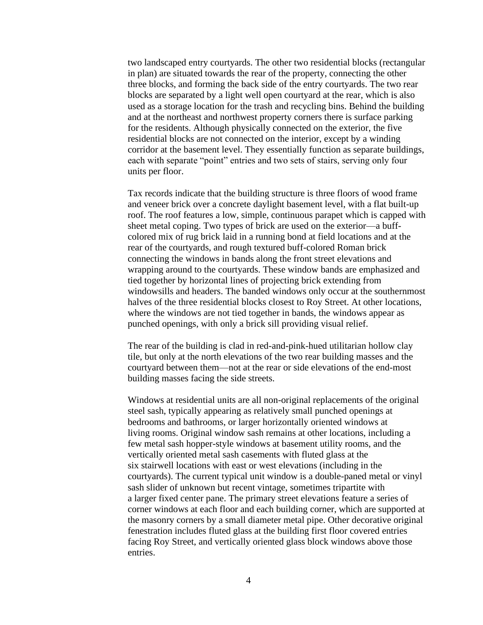two landscaped entry courtyards. The other two residential blocks (rectangular in plan) are situated towards the rear of the property, connecting the other three blocks, and forming the back side of the entry courtyards. The two rear blocks are separated by a light well open courtyard at the rear, which is also used as a storage location for the trash and recycling bins. Behind the building and at the northeast and northwest property corners there is surface parking for the residents. Although physically connected on the exterior, the five residential blocks are not connected on the interior, except by a winding corridor at the basement level. They essentially function as separate buildings, each with separate "point" entries and two sets of stairs, serving only four units per floor.

Tax records indicate that the building structure is three floors of wood frame and veneer brick over a concrete daylight basement level, with a flat built-up roof. The roof features a low, simple, continuous parapet which is capped with sheet metal coping. Two types of brick are used on the exterior—a buffcolored mix of rug brick laid in a running bond at field locations and at the rear of the courtyards, and rough textured buff-colored Roman brick connecting the windows in bands along the front street elevations and wrapping around to the courtyards. These window bands are emphasized and tied together by horizontal lines of projecting brick extending from windowsills and headers. The banded windows only occur at the southernmost halves of the three residential blocks closest to Roy Street. At other locations, where the windows are not tied together in bands, the windows appear as punched openings, with only a brick sill providing visual relief.

The rear of the building is clad in red-and-pink-hued utilitarian hollow clay tile, but only at the north elevations of the two rear building masses and the courtyard between them—not at the rear or side elevations of the end-most building masses facing the side streets.

Windows at residential units are all non-original replacements of the original steel sash, typically appearing as relatively small punched openings at bedrooms and bathrooms, or larger horizontally oriented windows at living rooms. Original window sash remains at other locations, including a few metal sash hopper-style windows at basement utility rooms, and the vertically oriented metal sash casements with fluted glass at the six stairwell locations with east or west elevations (including in the courtyards). The current typical unit window is a double-paned metal or vinyl sash slider of unknown but recent vintage, sometimes tripartite with a larger fixed center pane. The primary street elevations feature a series of corner windows at each floor and each building corner, which are supported at the masonry corners by a small diameter metal pipe. Other decorative original fenestration includes fluted glass at the building first floor covered entries facing Roy Street, and vertically oriented glass block windows above those entries.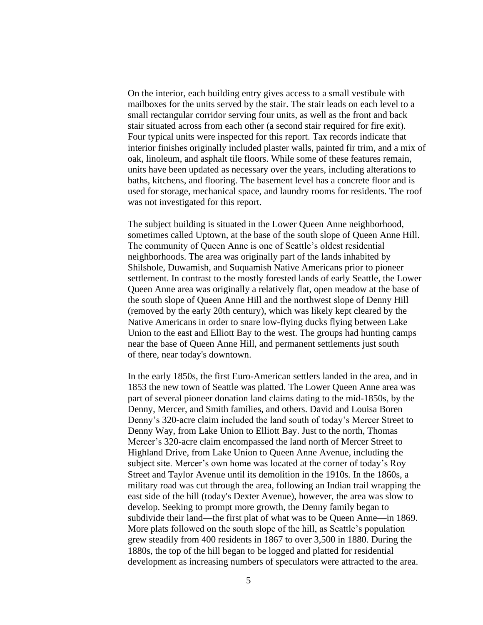On the interior, each building entry gives access to a small vestibule with mailboxes for the units served by the stair. The stair leads on each level to a small rectangular corridor serving four units, as well as the front and back stair situated across from each other (a second stair required for fire exit). Four typical units were inspected for this report. Tax records indicate that interior finishes originally included plaster walls, painted fir trim, and a mix of oak, linoleum, and asphalt tile floors. While some of these features remain, units have been updated as necessary over the years, including alterations to baths, kitchens, and flooring. The basement level has a concrete floor and is used for storage, mechanical space, and laundry rooms for residents. The roof was not investigated for this report.

The subject building is situated in the Lower Queen Anne neighborhood, sometimes called Uptown, at the base of the south slope of Queen Anne Hill. The community of Queen Anne is one of Seattle's oldest residential neighborhoods. The area was originally part of the lands inhabited by Shilshole, Duwamish, and Suquamish Native Americans prior to pioneer settlement. In contrast to the mostly forested lands of early Seattle, the Lower Queen Anne area was originally a relatively flat, open meadow at the base of the south slope of Queen Anne Hill and the northwest slope of Denny Hill (removed by the early 20th century), which was likely kept cleared by the Native Americans in order to snare low-flying ducks flying between Lake Union to the east and Elliott Bay to the west. The groups had hunting camps near the base of Queen Anne Hill, and permanent settlements just south of there, near today's downtown.

In the early 1850s, the first Euro-American settlers landed in the area, and in 1853 the new town of Seattle was platted. The Lower Queen Anne area was part of several pioneer donation land claims dating to the mid-1850s, by the Denny, Mercer, and Smith families, and others. David and Louisa Boren Denny's 320-acre claim included the land south of today's Mercer Street to Denny Way, from Lake Union to Elliott Bay. Just to the north, Thomas Mercer's 320-acre claim encompassed the land north of Mercer Street to Highland Drive, from Lake Union to Queen Anne Avenue, including the subject site. Mercer's own home was located at the corner of today's Roy Street and Taylor Avenue until its demolition in the 1910s. In the 1860s, a military road was cut through the area, following an Indian trail wrapping the east side of the hill (today's Dexter Avenue), however, the area was slow to develop. Seeking to prompt more growth, the Denny family began to subdivide their land—the first plat of what was to be Queen Anne—in 1869. More plats followed on the south slope of the hill, as Seattle's population grew steadily from 400 residents in 1867 to over 3,500 in 1880. During the 1880s, the top of the hill began to be logged and platted for residential development as increasing numbers of speculators were attracted to the area.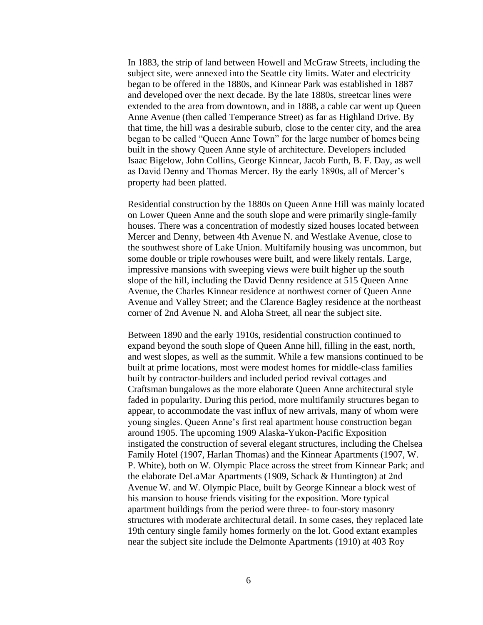In 1883, the strip of land between Howell and McGraw Streets, including the subject site, were annexed into the Seattle city limits. Water and electricity began to be offered in the 1880s, and Kinnear Park was established in 1887 and developed over the next decade. By the late 1880s, streetcar lines were extended to the area from downtown, and in 1888, a cable car went up Queen Anne Avenue (then called Temperance Street) as far as Highland Drive. By that time, the hill was a desirable suburb, close to the center city, and the area began to be called "Queen Anne Town" for the large number of homes being built in the showy Queen Anne style of architecture. Developers included Isaac Bigelow, John Collins, George Kinnear, Jacob Furth, B. F. Day, as well as David Denny and Thomas Mercer. By the early 1890s, all of Mercer's property had been platted.

Residential construction by the 1880s on Queen Anne Hill was mainly located on Lower Queen Anne and the south slope and were primarily single-family houses. There was a concentration of modestly sized houses located between Mercer and Denny, between 4th Avenue N. and Westlake Avenue, close to the southwest shore of Lake Union. Multifamily housing was uncommon, but some double or triple rowhouses were built, and were likely rentals. Large, impressive mansions with sweeping views were built higher up the south slope of the hill, including the David Denny residence at 515 Queen Anne Avenue, the Charles Kinnear residence at northwest corner of Queen Anne Avenue and Valley Street; and the Clarence Bagley residence at the northeast corner of 2nd Avenue N. and Aloha Street, all near the subject site.

Between 1890 and the early 1910s, residential construction continued to expand beyond the south slope of Queen Anne hill, filling in the east, north, and west slopes, as well as the summit. While a few mansions continued to be built at prime locations, most were modest homes for middle-class families built by contractor-builders and included period revival cottages and Craftsman bungalows as the more elaborate Queen Anne architectural style faded in popularity. During this period, more multifamily structures began to appear, to accommodate the vast influx of new arrivals, many of whom were young singles. Queen Anne's first real apartment house construction began around 1905. The upcoming 1909 Alaska-Yukon-Pacific Exposition instigated the construction of several elegant structures, including the Chelsea Family Hotel (1907, Harlan Thomas) and the Kinnear Apartments (1907, W. P. White), both on W. Olympic Place across the street from Kinnear Park; and the elaborate DeLaMar Apartments (1909, Schack & Huntington) at 2nd Avenue W. and W. Olympic Place, built by George Kinnear a block west of his mansion to house friends visiting for the exposition. More typical apartment buildings from the period were three- to four-story masonry structures with moderate architectural detail. In some cases, they replaced late 19th century single family homes formerly on the lot. Good extant examples near the subject site include the Delmonte Apartments (1910) at 403 Roy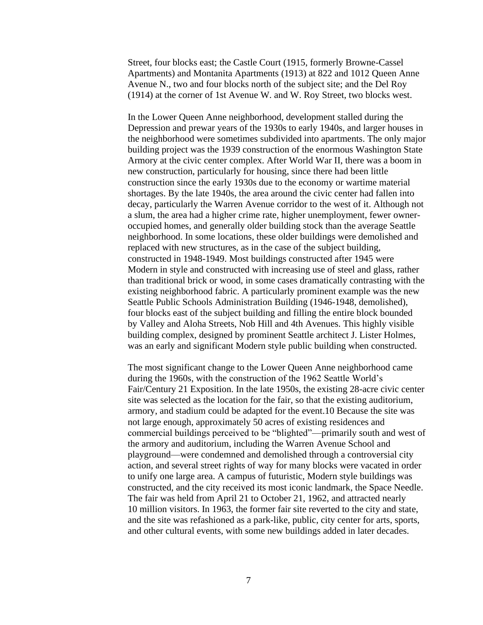Street, four blocks east; the Castle Court (1915, formerly Browne-Cassel Apartments) and Montanita Apartments (1913) at 822 and 1012 Queen Anne Avenue N., two and four blocks north of the subject site; and the Del Roy (1914) at the corner of 1st Avenue W. and W. Roy Street, two blocks west.

In the Lower Queen Anne neighborhood, development stalled during the Depression and prewar years of the 1930s to early 1940s, and larger houses in the neighborhood were sometimes subdivided into apartments. The only major building project was the 1939 construction of the enormous Washington State Armory at the civic center complex. After World War II, there was a boom in new construction, particularly for housing, since there had been little construction since the early 1930s due to the economy or wartime material shortages. By the late 1940s, the area around the civic center had fallen into decay, particularly the Warren Avenue corridor to the west of it. Although not a slum, the area had a higher crime rate, higher unemployment, fewer owneroccupied homes, and generally older building stock than the average Seattle neighborhood. In some locations, these older buildings were demolished and replaced with new structures, as in the case of the subject building, constructed in 1948-1949. Most buildings constructed after 1945 were Modern in style and constructed with increasing use of steel and glass, rather than traditional brick or wood, in some cases dramatically contrasting with the existing neighborhood fabric. A particularly prominent example was the new Seattle Public Schools Administration Building (1946-1948, demolished), four blocks east of the subject building and filling the entire block bounded by Valley and Aloha Streets, Nob Hill and 4th Avenues. This highly visible building complex, designed by prominent Seattle architect J. Lister Holmes, was an early and significant Modern style public building when constructed.

The most significant change to the Lower Queen Anne neighborhood came during the 1960s, with the construction of the 1962 Seattle World's Fair/Century 21 Exposition. In the late 1950s, the existing 28-acre civic center site was selected as the location for the fair, so that the existing auditorium, armory, and stadium could be adapted for the event.10 Because the site was not large enough, approximately 50 acres of existing residences and commercial buildings perceived to be "blighted"—primarily south and west of the armory and auditorium, including the Warren Avenue School and playground—were condemned and demolished through a controversial city action, and several street rights of way for many blocks were vacated in order to unify one large area. A campus of futuristic, Modern style buildings was constructed, and the city received its most iconic landmark, the Space Needle. The fair was held from April 21 to October 21, 1962, and attracted nearly 10 million visitors. In 1963, the former fair site reverted to the city and state, and the site was refashioned as a park-like, public, city center for arts, sports, and other cultural events, with some new buildings added in later decades.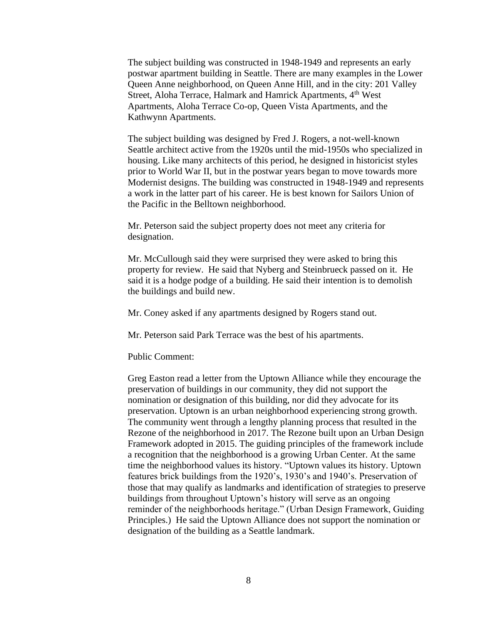The subject building was constructed in 1948-1949 and represents an early postwar apartment building in Seattle. There are many examples in the Lower Queen Anne neighborhood, on Queen Anne Hill, and in the city: 201 Valley Street, Aloha Terrace, Halmark and Hamrick Apartments, 4<sup>th</sup> West Apartments, Aloha Terrace Co-op, Queen Vista Apartments, and the Kathwynn Apartments.

The subject building was designed by Fred J. Rogers, a not-well-known Seattle architect active from the 1920s until the mid-1950s who specialized in housing. Like many architects of this period, he designed in historicist styles prior to World War II, but in the postwar years began to move towards more Modernist designs. The building was constructed in 1948-1949 and represents a work in the latter part of his career. He is best known for Sailors Union of the Pacific in the Belltown neighborhood.

Mr. Peterson said the subject property does not meet any criteria for designation.

Mr. McCullough said they were surprised they were asked to bring this property for review. He said that Nyberg and Steinbrueck passed on it. He said it is a hodge podge of a building. He said their intention is to demolish the buildings and build new.

Mr. Coney asked if any apartments designed by Rogers stand out.

Mr. Peterson said Park Terrace was the best of his apartments.

#### Public Comment:

Greg Easton read a letter from the Uptown Alliance while they encourage the preservation of buildings in our community, they did not support the nomination or designation of this building, nor did they advocate for its preservation. Uptown is an urban neighborhood experiencing strong growth. The community went through a lengthy planning process that resulted in the Rezone of the neighborhood in 2017. The Rezone built upon an Urban Design Framework adopted in 2015. The guiding principles of the framework include a recognition that the neighborhood is a growing Urban Center. At the same time the neighborhood values its history. "Uptown values its history. Uptown features brick buildings from the 1920's, 1930's and 1940's. Preservation of those that may qualify as landmarks and identification of strategies to preserve buildings from throughout Uptown's history will serve as an ongoing reminder of the neighborhoods heritage." (Urban Design Framework, Guiding Principles.) He said the Uptown Alliance does not support the nomination or designation of the building as a Seattle landmark.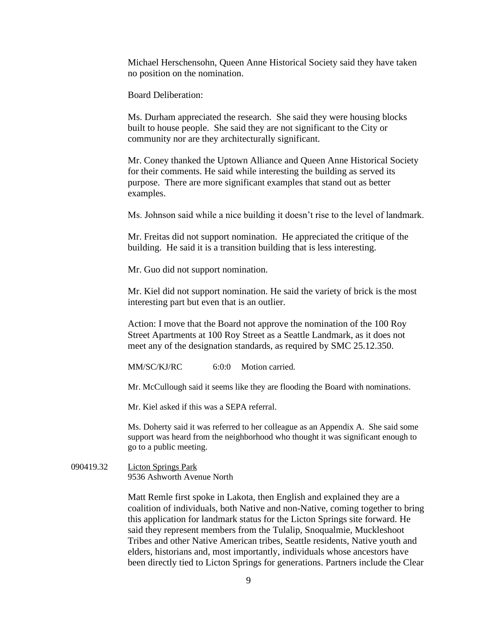Michael Herschensohn, Queen Anne Historical Society said they have taken no position on the nomination.

Board Deliberation:

Ms. Durham appreciated the research. She said they were housing blocks built to house people. She said they are not significant to the City or community nor are they architecturally significant.

Mr. Coney thanked the Uptown Alliance and Queen Anne Historical Society for their comments. He said while interesting the building as served its purpose. There are more significant examples that stand out as better examples.

Ms. Johnson said while a nice building it doesn't rise to the level of landmark.

Mr. Freitas did not support nomination. He appreciated the critique of the building. He said it is a transition building that is less interesting.

Mr. Guo did not support nomination.

Mr. Kiel did not support nomination. He said the variety of brick is the most interesting part but even that is an outlier.

Action: I move that the Board not approve the nomination of the 100 Roy Street Apartments at 100 Roy Street as a Seattle Landmark, as it does not meet any of the designation standards, as required by SMC 25.12.350.

MM/SC/KJ/RC 6:0:0 Motion carried.

Mr. McCullough said it seems like they are flooding the Board with nominations.

Mr. Kiel asked if this was a SEPA referral.

Ms. Doherty said it was referred to her colleague as an Appendix A. She said some support was heard from the neighborhood who thought it was significant enough to go to a public meeting.

090419.32 Licton Springs Park 9536 Ashworth Avenue North

> Matt Remle first spoke in Lakota, then English and explained they are a coalition of individuals, both Native and non-Native, coming together to bring this application for landmark status for the Licton Springs site forward. He said they represent members from the Tulalip, Snoqualmie, Muckleshoot Tribes and other Native American tribes, Seattle residents, Native youth and elders, historians and, most importantly, individuals whose ancestors have been directly tied to Licton Springs for generations. Partners include the Clear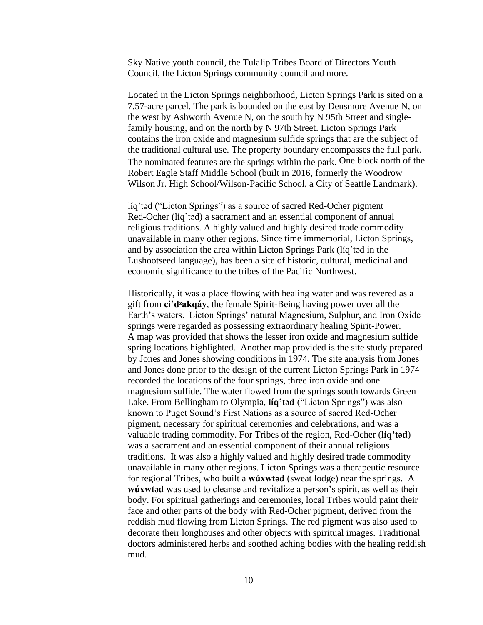Sky Native youth council, the Tulalip Tribes Board of Directors Youth Council, the Licton Springs community council and more.

Located in the Licton Springs neighborhood, Licton Springs Park is sited on a 7.57-acre parcel. The park is bounded on the east by Densmore Avenue N, on the west by Ashworth Avenue N, on the south by N 95th Street and singlefamily housing, and on the north by N 97th Street. Licton Springs Park contains the iron oxide and magnesium sulfide springs that are the subject of the traditional cultural use. The property boundary encompasses the full park. The nominated features are the springs within the park. One block north of the Robert Eagle Staff Middle School (built in 2016, formerly the Woodrow Wilson Jr. High School/Wilson-Pacific School, a City of Seattle Landmark).

líq'tәd ("Licton Springs") as a source of sacred Red-Ocher pigment Red-Ocher (líq'təd) a sacrament and an essential component of annual religious traditions. A highly valued and highly desired trade commodity unavailable in many other regions. Since time immemorial, Licton Springs, and by association the area within Licton Springs Park (líq'tәd in the Lushootseed language), has been a site of historic, cultural, medicinal and economic significance to the tribes of the Pacific Northwest.

Historically, it was a place flowing with healing water and was revered as a gift from **ci'dᶻakqáy**, the female Spirit-Being having power over all the Earth's waters. Licton Springs' natural Magnesium, Sulphur, and Iron Oxide springs were regarded as possessing extraordinary healing Spirit-Power. A map was provided that shows the lesser iron oxide and magnesium sulfide spring locations highlighted. Another map provided is the site study prepared by Jones and Jones showing conditions in 1974. The site analysis from Jones and Jones done prior to the design of the current Licton Springs Park in 1974 recorded the locations of the four springs, three iron oxide and one magnesium sulfide. The water flowed from the springs south towards Green Lake. From Bellingham to Olympia, **líq'tәd** ("Licton Springs") was also known to Puget Sound's First Nations as a source of sacred Red-Ocher pigment, necessary for spiritual ceremonies and celebrations, and was a valuable trading commodity. For Tribes of the region, Red-Ocher (**líq'tәd**) was a sacrament and an essential component of their annual religious traditions. It was also a highly valued and highly desired trade commodity unavailable in many other regions. Licton Springs was a therapeutic resource for regional Tribes, who built a **wúxwtәd** (sweat lodge) near the springs. A **wúxwtәd** was used to cleanse and revitalize a person's spirit, as well as their body. For spiritual gatherings and ceremonies, local Tribes would paint their face and other parts of the body with Red-Ocher pigment, derived from the reddish mud flowing from Licton Springs. The red pigment was also used to decorate their longhouses and other objects with spiritual images. Traditional doctors administered herbs and soothed aching bodies with the healing reddish mud.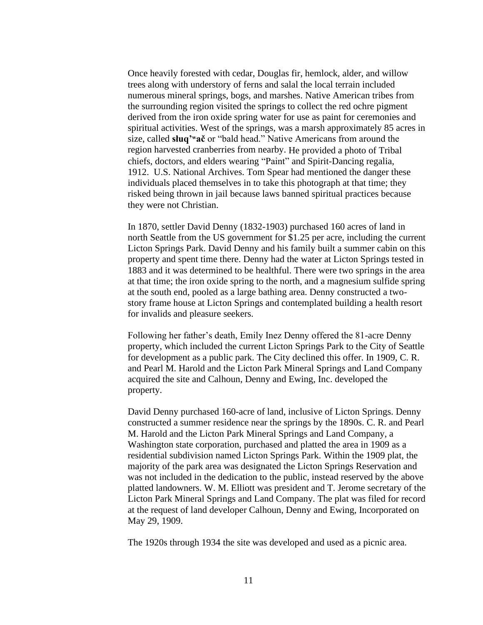Once heavily forested with cedar, Douglas fir, hemlock, alder, and willow trees along with understory of ferns and salal the local terrain included numerous mineral springs, bogs, and marshes. Native American tribes from the surrounding region visited the springs to collect the red ochre pigment derived from the iron oxide spring water for use as paint for ceremonies and spiritual activities. West of the springs, was a marsh approximately 85 acres in size, called **słuq'ʷač** or "bald head." Native Americans from around the region harvested cranberries from nearby. He provided a photo of Tribal chiefs, doctors, and elders wearing "Paint" and Spirit-Dancing regalia, 1912. U.S. National Archives. Tom Spear had mentioned the danger these individuals placed themselves in to take this photograph at that time; they risked being thrown in jail because laws banned spiritual practices because they were not Christian.

In 1870, settler David Denny (1832-1903) purchased 160 acres of land in north Seattle from the US government for \$1.25 per acre, including the current Licton Springs Park. David Denny and his family built a summer cabin on this property and spent time there. Denny had the water at Licton Springs tested in 1883 and it was determined to be healthful. There were two springs in the area at that time; the iron oxide spring to the north, and a magnesium sulfide spring at the south end, pooled as a large bathing area. Denny constructed a twostory frame house at Licton Springs and contemplated building a health resort for invalids and pleasure seekers.

Following her father's death, Emily Inez Denny offered the 81-acre Denny property, which included the current Licton Springs Park to the City of Seattle for development as a public park. The City declined this offer. In 1909, C. R. and Pearl M. Harold and the Licton Park Mineral Springs and Land Company acquired the site and Calhoun, Denny and Ewing, Inc. developed the property.

David Denny purchased 160-acre of land, inclusive of Licton Springs. Denny constructed a summer residence near the springs by the 1890s. C. R. and Pearl M. Harold and the Licton Park Mineral Springs and Land Company, a Washington state corporation, purchased and platted the area in 1909 as a residential subdivision named Licton Springs Park. Within the 1909 plat, the majority of the park area was designated the Licton Springs Reservation and was not included in the dedication to the public, instead reserved by the above platted landowners. W. M. Elliott was president and T. Jerome secretary of the Licton Park Mineral Springs and Land Company. The plat was filed for record at the request of land developer Calhoun, Denny and Ewing, Incorporated on May 29, 1909.

The 1920s through 1934 the site was developed and used as a picnic area.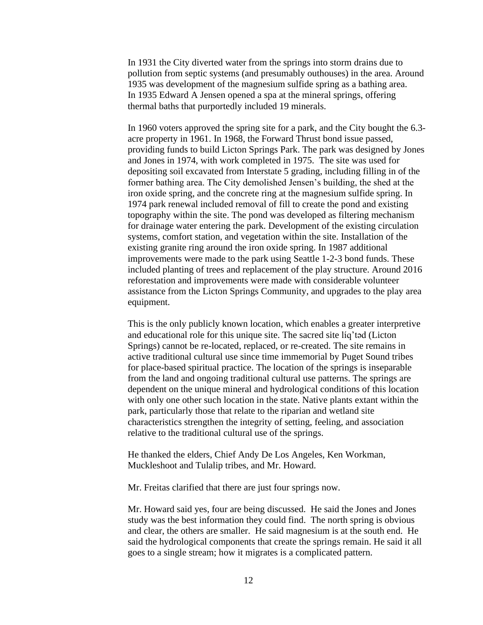In 1931 the City diverted water from the springs into storm drains due to pollution from septic systems (and presumably outhouses) in the area. Around 1935 was development of the magnesium sulfide spring as a bathing area. In 1935 Edward A Jensen opened a spa at the mineral springs, offering thermal baths that purportedly included 19 minerals.

In 1960 voters approved the spring site for a park, and the City bought the 6.3 acre property in 1961. In 1968, the Forward Thrust bond issue passed, providing funds to build Licton Springs Park. The park was designed by Jones and Jones in 1974, with work completed in 1975. The site was used for depositing soil excavated from Interstate 5 grading, including filling in of the former bathing area. The City demolished Jensen's building, the shed at the iron oxide spring, and the concrete ring at the magnesium sulfide spring. In 1974 park renewal included removal of fill to create the pond and existing topography within the site. The pond was developed as filtering mechanism for drainage water entering the park. Development of the existing circulation systems, comfort station, and vegetation within the site. Installation of the existing granite ring around the iron oxide spring. In 1987 additional improvements were made to the park using Seattle 1-2-3 bond funds. These included planting of trees and replacement of the play structure. Around 2016 reforestation and improvements were made with considerable volunteer assistance from the Licton Springs Community, and upgrades to the play area equipment.

This is the only publicly known location, which enables a greater interpretive and educational role for this unique site. The sacred site líq'tәd (Licton Springs) cannot be re-located, replaced, or re-created. The site remains in active traditional cultural use since time immemorial by Puget Sound tribes for place-based spiritual practice. The location of the springs is inseparable from the land and ongoing traditional cultural use patterns. The springs are dependent on the unique mineral and hydrological conditions of this location with only one other such location in the state. Native plants extant within the park, particularly those that relate to the riparian and wetland site characteristics strengthen the integrity of setting, feeling, and association relative to the traditional cultural use of the springs.

He thanked the elders, Chief Andy De Los Angeles, Ken Workman, Muckleshoot and Tulalip tribes, and Mr. Howard.

Mr. Freitas clarified that there are just four springs now.

Mr. Howard said yes, four are being discussed. He said the Jones and Jones study was the best information they could find. The north spring is obvious and clear, the others are smaller. He said magnesium is at the south end. He said the hydrological components that create the springs remain. He said it all goes to a single stream; how it migrates is a complicated pattern.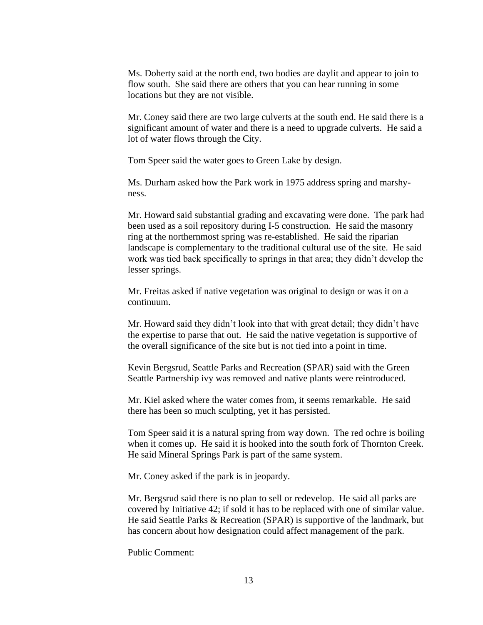Ms. Doherty said at the north end, two bodies are daylit and appear to join to flow south. She said there are others that you can hear running in some locations but they are not visible.

Mr. Coney said there are two large culverts at the south end. He said there is a significant amount of water and there is a need to upgrade culverts. He said a lot of water flows through the City.

Tom Speer said the water goes to Green Lake by design.

Ms. Durham asked how the Park work in 1975 address spring and marshyness.

Mr. Howard said substantial grading and excavating were done. The park had been used as a soil repository during I-5 construction. He said the masonry ring at the northernmost spring was re-established. He said the riparian landscape is complementary to the traditional cultural use of the site. He said work was tied back specifically to springs in that area; they didn't develop the lesser springs.

Mr. Freitas asked if native vegetation was original to design or was it on a continuum.

Mr. Howard said they didn't look into that with great detail; they didn't have the expertise to parse that out. He said the native vegetation is supportive of the overall significance of the site but is not tied into a point in time.

Kevin Bergsrud, Seattle Parks and Recreation (SPAR) said with the Green Seattle Partnership ivy was removed and native plants were reintroduced.

Mr. Kiel asked where the water comes from, it seems remarkable. He said there has been so much sculpting, yet it has persisted.

Tom Speer said it is a natural spring from way down. The red ochre is boiling when it comes up. He said it is hooked into the south fork of Thornton Creek. He said Mineral Springs Park is part of the same system.

Mr. Coney asked if the park is in jeopardy.

Mr. Bergsrud said there is no plan to sell or redevelop. He said all parks are covered by Initiative 42; if sold it has to be replaced with one of similar value. He said Seattle Parks & Recreation (SPAR) is supportive of the landmark, but has concern about how designation could affect management of the park.

Public Comment: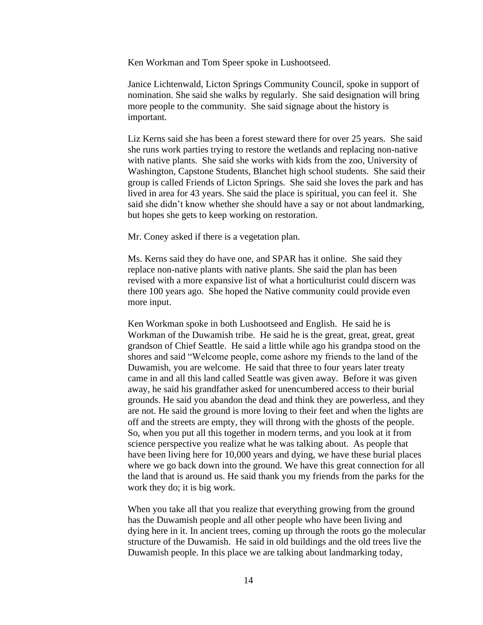Ken Workman and Tom Speer spoke in Lushootseed.

Janice Lichtenwald, Licton Springs Community Council, spoke in support of nomination. She said she walks by regularly. She said designation will bring more people to the community. She said signage about the history is important.

Liz Kerns said she has been a forest steward there for over 25 years. She said she runs work parties trying to restore the wetlands and replacing non-native with native plants. She said she works with kids from the zoo, University of Washington, Capstone Students, Blanchet high school students. She said their group is called Friends of Licton Springs. She said she loves the park and has lived in area for 43 years. She said the place is spiritual, you can feel it. She said she didn't know whether she should have a say or not about landmarking, but hopes she gets to keep working on restoration.

Mr. Coney asked if there is a vegetation plan.

Ms. Kerns said they do have one, and SPAR has it online. She said they replace non-native plants with native plants. She said the plan has been revised with a more expansive list of what a horticulturist could discern was there 100 years ago. She hoped the Native community could provide even more input.

Ken Workman spoke in both Lushootseed and English. He said he is Workman of the Duwamish tribe. He said he is the great, great, great, great grandson of Chief Seattle. He said a little while ago his grandpa stood on the shores and said "Welcome people, come ashore my friends to the land of the Duwamish, you are welcome. He said that three to four years later treaty came in and all this land called Seattle was given away. Before it was given away, he said his grandfather asked for unencumbered access to their burial grounds. He said you abandon the dead and think they are powerless, and they are not. He said the ground is more loving to their feet and when the lights are off and the streets are empty, they will throng with the ghosts of the people. So, when you put all this together in modern terms, and you look at it from science perspective you realize what he was talking about. As people that have been living here for 10,000 years and dying, we have these burial places where we go back down into the ground. We have this great connection for all the land that is around us. He said thank you my friends from the parks for the work they do; it is big work.

When you take all that you realize that everything growing from the ground has the Duwamish people and all other people who have been living and dying here in it. In ancient trees, coming up through the roots go the molecular structure of the Duwamish. He said in old buildings and the old trees live the Duwamish people. In this place we are talking about landmarking today,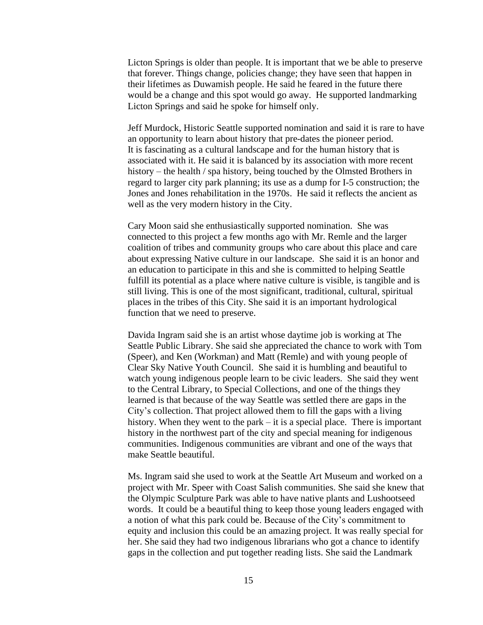Licton Springs is older than people. It is important that we be able to preserve that forever. Things change, policies change; they have seen that happen in their lifetimes as Duwamish people. He said he feared in the future there would be a change and this spot would go away. He supported landmarking Licton Springs and said he spoke for himself only.

Jeff Murdock, Historic Seattle supported nomination and said it is rare to have an opportunity to learn about history that pre-dates the pioneer period. It is fascinating as a cultural landscape and for the human history that is associated with it. He said it is balanced by its association with more recent history – the health / spa history, being touched by the Olmsted Brothers in regard to larger city park planning; its use as a dump for I-5 construction; the Jones and Jones rehabilitation in the 1970s. He said it reflects the ancient as well as the very modern history in the City.

Cary Moon said she enthusiastically supported nomination. She was connected to this project a few months ago with Mr. Remle and the larger coalition of tribes and community groups who care about this place and care about expressing Native culture in our landscape. She said it is an honor and an education to participate in this and she is committed to helping Seattle fulfill its potential as a place where native culture is visible, is tangible and is still living. This is one of the most significant, traditional, cultural, spiritual places in the tribes of this City. She said it is an important hydrological function that we need to preserve.

Davida Ingram said she is an artist whose daytime job is working at The Seattle Public Library. She said she appreciated the chance to work with Tom (Speer), and Ken (Workman) and Matt (Remle) and with young people of Clear Sky Native Youth Council. She said it is humbling and beautiful to watch young indigenous people learn to be civic leaders. She said they went to the Central Library, to Special Collections, and one of the things they learned is that because of the way Seattle was settled there are gaps in the City's collection. That project allowed them to fill the gaps with a living history. When they went to the park – it is a special place. There is important history in the northwest part of the city and special meaning for indigenous communities. Indigenous communities are vibrant and one of the ways that make Seattle beautiful.

Ms. Ingram said she used to work at the Seattle Art Museum and worked on a project with Mr. Speer with Coast Salish communities. She said she knew that the Olympic Sculpture Park was able to have native plants and Lushootseed words. It could be a beautiful thing to keep those young leaders engaged with a notion of what this park could be. Because of the City's commitment to equity and inclusion this could be an amazing project. It was really special for her. She said they had two indigenous librarians who got a chance to identify gaps in the collection and put together reading lists. She said the Landmark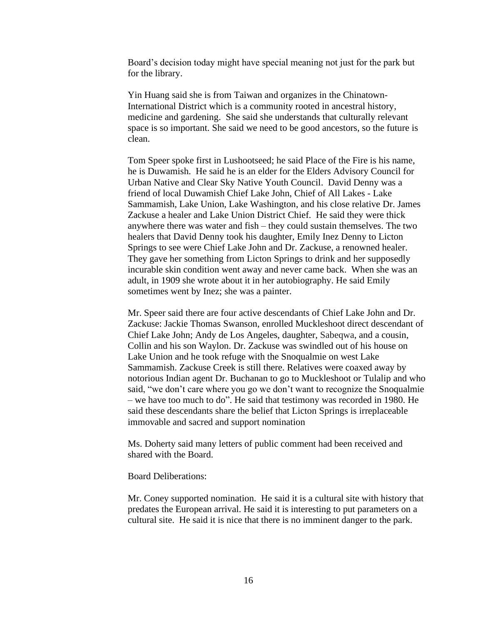Board's decision today might have special meaning not just for the park but for the library.

Yin Huang said she is from Taiwan and organizes in the Chinatown-International District which is a community rooted in ancestral history, medicine and gardening. She said she understands that culturally relevant space is so important. She said we need to be good ancestors, so the future is clean.

Tom Speer spoke first in Lushootseed; he said Place of the Fire is his name, he is Duwamish. He said he is an elder for the Elders Advisory Council for Urban Native and Clear Sky Native Youth Council. David Denny was a friend of local Duwamish Chief Lake John, Chief of All Lakes - Lake Sammamish, Lake Union, Lake Washington, and his close relative Dr. James Zackuse a healer and Lake Union District Chief. He said they were thick anywhere there was water and fish – they could sustain themselves. The two healers that David Denny took his daughter, Emily Inez Denny to Licton Springs to see were Chief Lake John and Dr. Zackuse, a renowned healer. They gave her something from Licton Springs to drink and her supposedly incurable skin condition went away and never came back. When she was an adult, in 1909 she wrote about it in her autobiography. He said Emily sometimes went by Inez; she was a painter.

Mr. Speer said there are four active descendants of Chief Lake John and Dr. Zackuse: Jackie Thomas Swanson, enrolled Muckleshoot direct descendant of Chief Lake John; Andy de Los Angeles, daughter, Sabeqwa, and a cousin, Collin and his son Waylon. Dr. Zackuse was swindled out of his house on Lake Union and he took refuge with the Snoqualmie on west Lake Sammamish. Zackuse Creek is still there. Relatives were coaxed away by notorious Indian agent Dr. Buchanan to go to Muckleshoot or Tulalip and who said, "we don't care where you go we don't want to recognize the Snoqualmie – we have too much to do". He said that testimony was recorded in 1980. He said these descendants share the belief that Licton Springs is irreplaceable immovable and sacred and support nomination

Ms. Doherty said many letters of public comment had been received and shared with the Board.

Board Deliberations:

Mr. Coney supported nomination. He said it is a cultural site with history that predates the European arrival. He said it is interesting to put parameters on a cultural site. He said it is nice that there is no imminent danger to the park.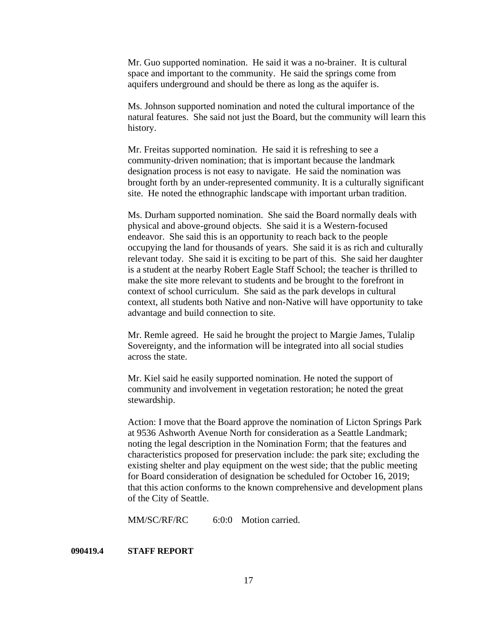Mr. Guo supported nomination. He said it was a no-brainer. It is cultural space and important to the community. He said the springs come from aquifers underground and should be there as long as the aquifer is.

Ms. Johnson supported nomination and noted the cultural importance of the natural features. She said not just the Board, but the community will learn this history.

Mr. Freitas supported nomination. He said it is refreshing to see a community-driven nomination; that is important because the landmark designation process is not easy to navigate. He said the nomination was brought forth by an under-represented community. It is a culturally significant site. He noted the ethnographic landscape with important urban tradition.

Ms. Durham supported nomination. She said the Board normally deals with physical and above-ground objects. She said it is a Western-focused endeavor. She said this is an opportunity to reach back to the people occupying the land for thousands of years. She said it is as rich and culturally relevant today. She said it is exciting to be part of this. She said her daughter is a student at the nearby Robert Eagle Staff School; the teacher is thrilled to make the site more relevant to students and be brought to the forefront in context of school curriculum. She said as the park develops in cultural context, all students both Native and non-Native will have opportunity to take advantage and build connection to site.

Mr. Remle agreed. He said he brought the project to Margie James, Tulalip Sovereignty, and the information will be integrated into all social studies across the state.

Mr. Kiel said he easily supported nomination. He noted the support of community and involvement in vegetation restoration; he noted the great stewardship.

Action: I move that the Board approve the nomination of Licton Springs Park at 9536 Ashworth Avenue North for consideration as a Seattle Landmark; noting the legal description in the Nomination Form; that the features and characteristics proposed for preservation include: the park site; excluding the existing shelter and play equipment on the west side; that the public meeting for Board consideration of designation be scheduled for October 16, 2019; that this action conforms to the known comprehensive and development plans of the City of Seattle.

MM/SC/RF/RC 6:0:0 Motion carried.

### **090419.4 STAFF REPORT**